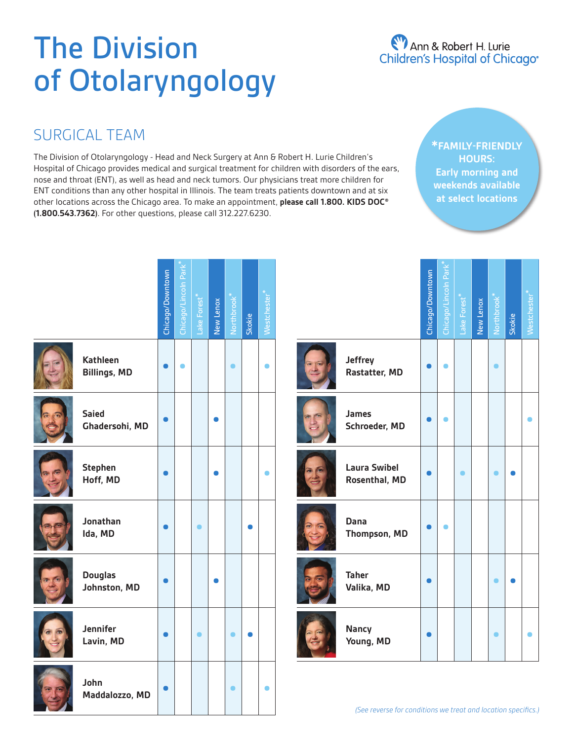# The Division of Otolaryngology

# Ann & Robert H. Lurie<br>Children's Hospital of Chicago®

### SURGICAL TEAM

The Division of Otolaryngology - Head and Neck Surgery at Ann & Robert H. Lurie Children's Hospital of Chicago provides medical and surgical treatment for children with disorders of the ears, nose and throat (ENT), as well as head and neck tumors. Our physicians treat more children for ENT conditions than any other hospital in Illinois. The team treats patients downtown and at six other locations across the Chicago area. To make an appointment, **please call 1.800. KIDS DOC® (1.800.543.7362)**. For other questions, please call 312.227.6230.

**\*FAMILY-FRIENDLY HOURS: Early morning and weekends available at select locations**

|                                        | Chicago/Downtown | Chicago/Lincoln Park | Lake Forest | New Lenox | Northbrook | Skokie | stcheste |
|----------------------------------------|------------------|----------------------|-------------|-----------|------------|--------|----------|
| <b>Kathleen</b><br><b>Billings, MD</b> |                  |                      |             |           |            |        |          |
| <b>Saied</b><br>Ghadersohi, MD         |                  |                      |             |           |            |        |          |
| <b>Stephen</b><br>Hoff, MD             |                  |                      |             |           |            |        |          |
| Jonathan<br>Ida, MD                    |                  |                      |             |           |            |        |          |
| <b>Douglas</b><br>Johnston, MD         |                  |                      |             |           |            |        |          |
| Jennifer<br>Lavin, MD                  |                  |                      |             |           |            |        |          |
| John<br>Maddalozzo, MD                 |                  |                      |             |           |            |        |          |

|                                      | Chicago/Downtown | Chicago/Lincoln Park | Lake Forest <sup>*</sup> | New Lenox | <b>Northbroot</b> | Skokie | Vestchester |
|--------------------------------------|------------------|----------------------|--------------------------|-----------|-------------------|--------|-------------|
| <b>Jeffrey</b><br>Rastatter, MD      |                  |                      |                          |           |                   |        |             |
| <b>James</b><br>Schroeder, MD        |                  |                      |                          |           |                   |        |             |
| <b>Laura Swibel</b><br>Rosenthal, MD |                  |                      |                          |           |                   |        |             |
| Dana<br>Thompson, MD                 |                  |                      |                          |           |                   |        |             |
| <b>Taher</b><br>Valika, MD           |                  |                      |                          |           |                   |        |             |
| <b>Nancy</b><br>Young, MD            |                  |                      |                          |           |                   |        |             |